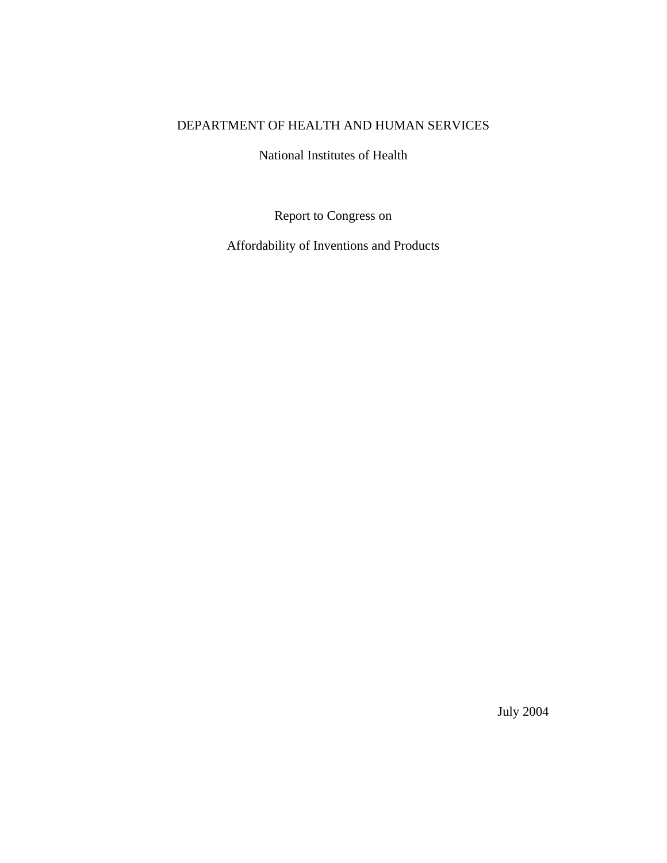## DEPARTMENT OF HEALTH AND HUMAN SERVICES

National Institutes of Health

Report to Congress on

Affordability of Inventions and Products

July 2004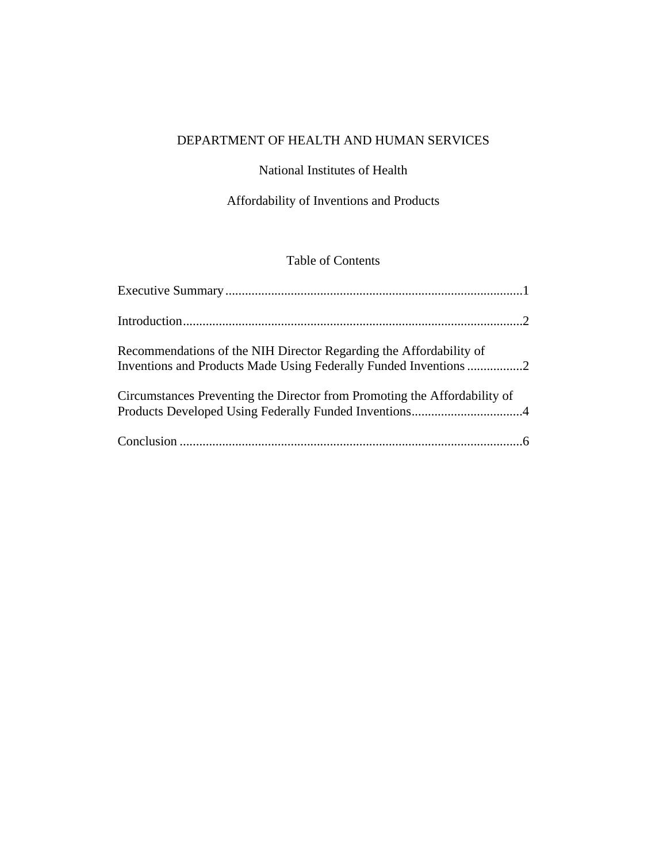# DEPARTMENT OF HEALTH AND HUMAN SERVICES

### National Institutes of Health

# Affordability of Inventions and Products

# Table of Contents

| Recommendations of the NIH Director Regarding the Affordability of<br>Inventions and Products Made Using Federally Funded Inventions 2 |  |
|----------------------------------------------------------------------------------------------------------------------------------------|--|
| Circumstances Preventing the Director from Promoting the Affordability of                                                              |  |
|                                                                                                                                        |  |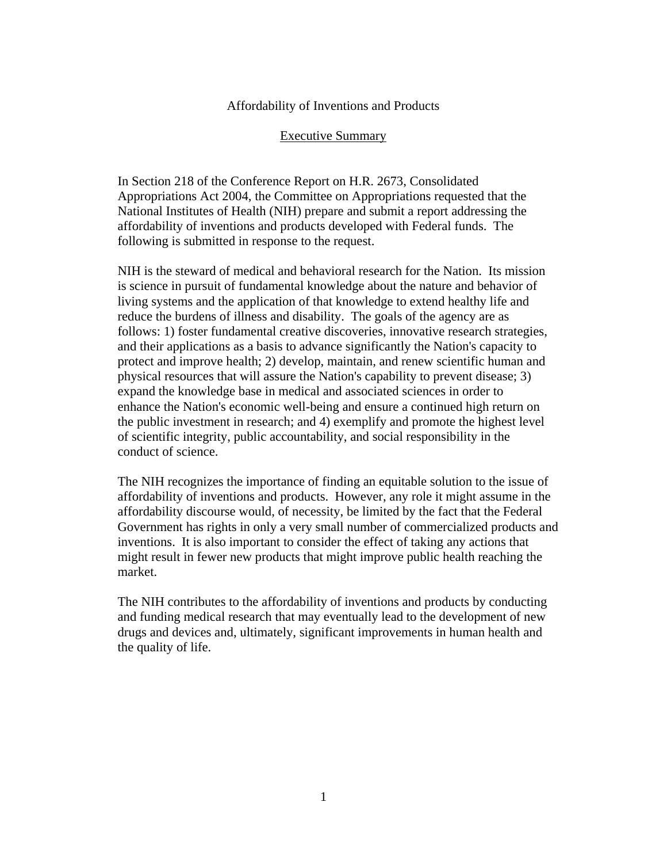#### Affordability of Inventions and Products

#### Executive Summary

In Section 218 of the Conference Report on H.R. 2673, Consolidated Appropriations Act 2004, the Committee on Appropriations requested that the National Institutes of Health (NIH) prepare and submit a report addressing the affordability of inventions and products developed with Federal funds. The following is submitted in response to the request.

NIH is the steward of medical and behavioral research for the Nation. Its mission is science in pursuit of fundamental knowledge about the nature and behavior of living systems and the application of that knowledge to extend healthy life and reduce the burdens of illness and disability. The goals of the agency are as follows: 1) foster fundamental creative discoveries, innovative research strategies, and their applications as a basis to advance significantly the Nation's capacity to protect and improve health; 2) develop, maintain, and renew scientific human and physical resources that will assure the Nation's capability to prevent disease; 3) expand the knowledge base in medical and associated sciences in order to enhance the Nation's economic well-being and ensure a continued high return on the public investment in research; and 4) exemplify and promote the highest level of scientific integrity, public accountability, and social responsibility in the conduct of science.

The NIH recognizes the importance of finding an equitable solution to the issue of affordability of inventions and products. However, any role it might assume in the affordability discourse would, of necessity, be limited by the fact that the Federal Government has rights in only a very small number of commercialized products and inventions. It is also important to consider the effect of taking any actions that might result in fewer new products that might improve public health reaching the market.

The NIH contributes to the affordability of inventions and products by conducting and funding medical research that may eventually lead to the development of new drugs and devices and, ultimately, significant improvements in human health and the quality of life.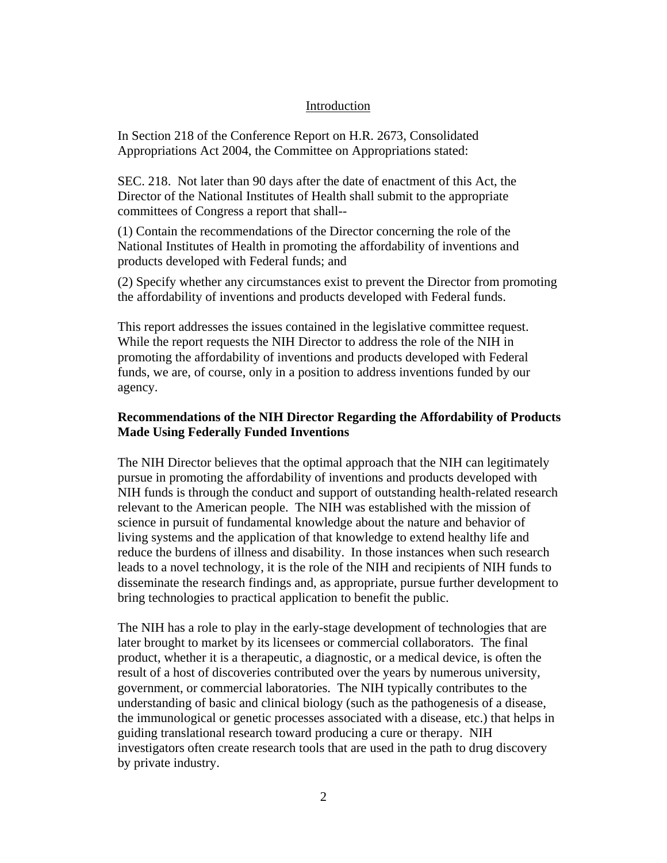#### Introduction

In Section 218 of the Conference Report on H.R. 2673, Consolidated Appropriations Act 2004, the Committee on Appropriations stated:

SEC. 218. Not later than 90 days after the date of enactment of this Act, the Director of the National Institutes of Health shall submit to the appropriate committees of Congress a report that shall--

(1) Contain the recommendations of the Director concerning the role of the National Institutes of Health in promoting the affordability of inventions and products developed with Federal funds; and

(2) Specify whether any circumstances exist to prevent the Director from promoting the affordability of inventions and products developed with Federal funds.

This report addresses the issues contained in the legislative committee request. While the report requests the NIH Director to address the role of the NIH in promoting the affordability of inventions and products developed with Federal funds, we are, of course, only in a position to address inventions funded by our agency.

#### **Recommendations of the NIH Director Regarding the Affordability of Products Made Using Federally Funded Inventions**

The NIH Director believes that the optimal approach that the NIH can legitimately pursue in promoting the affordability of inventions and products developed with NIH funds is through the conduct and support of outstanding health-related research relevant to the American people. The NIH was established with the mission of science in pursuit of fundamental knowledge about the nature and behavior of living systems and the application of that knowledge to extend healthy life and reduce the burdens of illness and disability. In those instances when such research leads to a novel technology, it is the role of the NIH and recipients of NIH funds to disseminate the research findings and, as appropriate, pursue further development to bring technologies to practical application to benefit the public.

The NIH has a role to play in the early-stage development of technologies that are later brought to market by its licensees or commercial collaborators. The final product, whether it is a therapeutic, a diagnostic, or a medical device, is often the result of a host of discoveries contributed over the years by numerous university, government, or commercial laboratories. The NIH typically contributes to the understanding of basic and clinical biology (such as the pathogenesis of a disease, the immunological or genetic processes associated with a disease, etc.) that helps in guiding translational research toward producing a cure or therapy. NIH investigators often create research tools that are used in the path to drug discovery by private industry.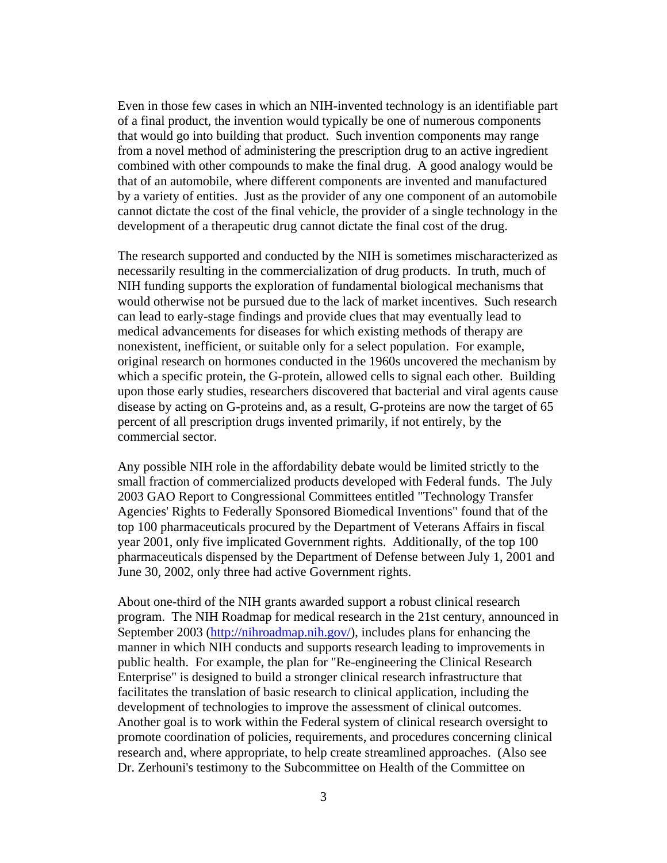Even in those few cases in which an NIH-invented technology is an identifiable part of a final product, the invention would typically be one of numerous components that would go into building that product. Such invention components may range from a novel method of administering the prescription drug to an active ingredient combined with other compounds to make the final drug. A good analogy would be that of an automobile, where different components are invented and manufactured by a variety of entities. Just as the provider of any one component of an automobile cannot dictate the cost of the final vehicle, the provider of a single technology in the development of a therapeutic drug cannot dictate the final cost of the drug.

The research supported and conducted by the NIH is sometimes mischaracterized as necessarily resulting in the commercialization of drug products. In truth, much of NIH funding supports the exploration of fundamental biological mechanisms that would otherwise not be pursued due to the lack of market incentives. Such research can lead to early-stage findings and provide clues that may eventually lead to medical advancements for diseases for which existing methods of therapy are nonexistent, inefficient, or suitable only for a select population. For example, original research on hormones conducted in the 1960s uncovered the mechanism by which a specific protein, the G-protein, allowed cells to signal each other. Building upon those early studies, researchers discovered that bacterial and viral agents cause disease by acting on G-proteins and, as a result, G-proteins are now the target of 65 percent of all prescription drugs invented primarily, if not entirely, by the commercial sector.

Any possible NIH role in the affordability debate would be limited strictly to the small fraction of commercialized products developed with Federal funds. The July 2003 GAO Report to Congressional Committees entitled "Technology Transfer Agencies' Rights to Federally Sponsored Biomedical Inventions" found that of the top 100 pharmaceuticals procured by the Department of Veterans Affairs in fiscal year 2001, only five implicated Government rights. Additionally, of the top 100 pharmaceuticals dispensed by the Department of Defense between July 1, 2001 and June 30, 2002, only three had active Government rights.

About one-third of the NIH grants awarded support a robust clinical research program. The NIH Roadmap for medical research in the 21st century, announced in September 2003 (http://nihroadmap.nih.gov/), includes plans for enhancing the manner in which NIH conducts and supports research leading to improvements in public health. For example, the plan for "Re-engineering the Clinical Research Enterprise" is designed to build a stronger clinical research infrastructure that facilitates the translation of basic research to clinical application, including the development of technologies to improve the assessment of clinical outcomes. Another goal is to work within the Federal system of clinical research oversight to promote coordination of policies, requirements, and procedures concerning clinical research and, where appropriate, to help create streamlined approaches. (Also see Dr. Zerhouni's testimony to the Subcommittee on Health of the Committee on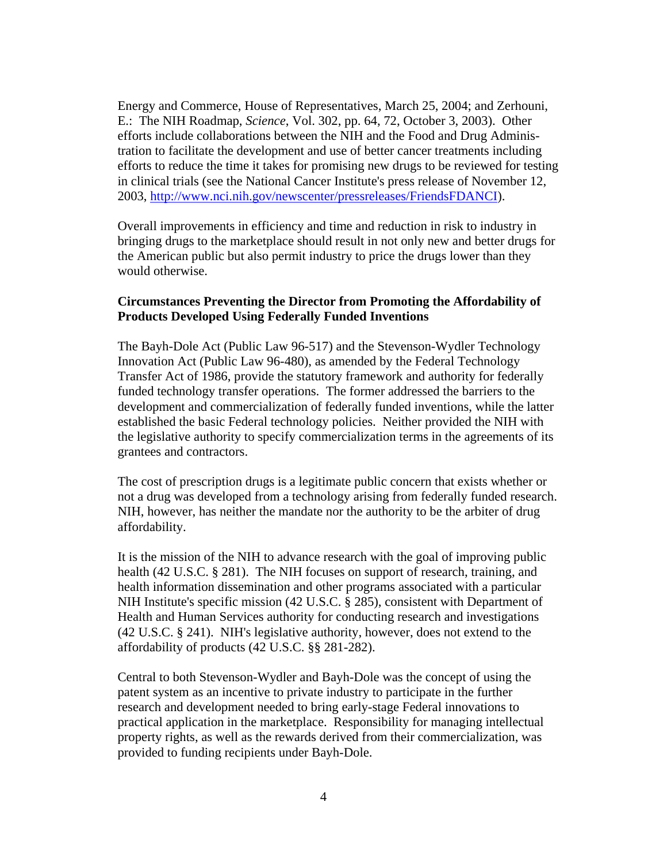Energy and Commerce, House of Representatives, March 25, 2004; and Zerhouni, E.: The NIH Roadmap, *Science*, Vol. 302, pp. 64, 72, October 3, 2003). Other efforts include collaborations between the NIH and the Food and Drug Administration to facilitate the development and use of better cancer treatments including efforts to reduce the time it takes for promising new drugs to be reviewed for testing in clinical trials (see the National Cancer Institute's press release of November 12, 2003, http://www.nci.nih.gov/newscenter/pressreleases/FriendsFDANCI).

Overall improvements in efficiency and time and reduction in risk to industry in bringing drugs to the marketplace should result in not only new and better drugs for the American public but also permit industry to price the drugs lower than they would otherwise.

#### **Circumstances Preventing the Director from Promoting the Affordability of Products Developed Using Federally Funded Inventions**

The Bayh-Dole Act (Public Law 96-517) and the Stevenson-Wydler Technology Innovation Act (Public Law 96-480), as amended by the Federal Technology Transfer Act of 1986, provide the statutory framework and authority for federally funded technology transfer operations. The former addressed the barriers to the development and commercialization of federally funded inventions, while the latter established the basic Federal technology policies. Neither provided the NIH with the legislative authority to specify commercialization terms in the agreements of its grantees and contractors.

The cost of prescription drugs is a legitimate public concern that exists whether or not a drug was developed from a technology arising from federally funded research. NIH, however, has neither the mandate nor the authority to be the arbiter of drug affordability.

It is the mission of the NIH to advance research with the goal of improving public health (42 U.S.C. § 281). The NIH focuses on support of research, training, and health information dissemination and other programs associated with a particular NIH Institute's specific mission (42 U.S.C. § 285), consistent with Department of Health and Human Services authority for conducting research and investigations (42 U.S.C. § 241). NIH's legislative authority, however, does not extend to the affordability of products (42 U.S.C. §§ 281-282).

Central to both Stevenson-Wydler and Bayh-Dole was the concept of using the patent system as an incentive to private industry to participate in the further research and development needed to bring early-stage Federal innovations to practical application in the marketplace. Responsibility for managing intellectual property rights, as well as the rewards derived from their commercialization, was provided to funding recipients under Bayh-Dole.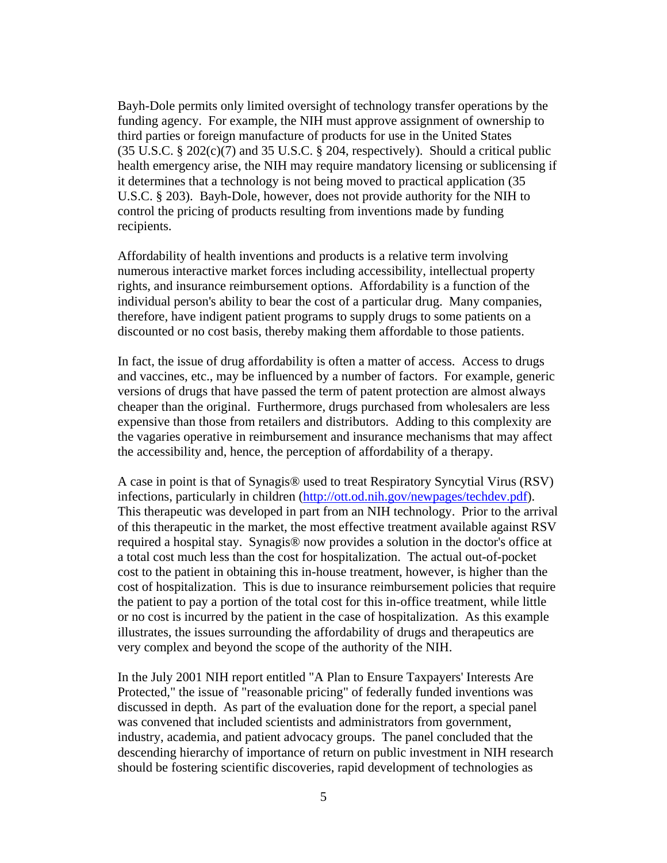Bayh-Dole permits only limited oversight of technology transfer operations by the funding agency. For example, the NIH must approve assignment of ownership to third parties or foreign manufacture of products for use in the United States  $(35 \text{ U.S.C.} \text{ § } 202 \text{(c)}(7)$  and  $35 \text{ U.S.C.} \text{ § } 204$ , respectively). Should a critical public health emergency arise, the NIH may require mandatory licensing or sublicensing if it determines that a technology is not being moved to practical application (35 U.S.C. § 203). Bayh-Dole, however, does not provide authority for the NIH to control the pricing of products resulting from inventions made by funding recipients.

Affordability of health inventions and products is a relative term involving numerous interactive market forces including accessibility, intellectual property rights, and insurance reimbursement options. Affordability is a function of the individual person's ability to bear the cost of a particular drug. Many companies, therefore, have indigent patient programs to supply drugs to some patients on a discounted or no cost basis, thereby making them affordable to those patients.

In fact, the issue of drug affordability is often a matter of access. Access to drugs and vaccines, etc., may be influenced by a number of factors. For example, generic versions of drugs that have passed the term of patent protection are almost always cheaper than the original. Furthermore, drugs purchased from wholesalers are less expensive than those from retailers and distributors. Adding to this complexity are the vagaries operative in reimbursement and insurance mechanisms that may affect the accessibility and, hence, the perception of affordability of a therapy.

A case in point is that of Synagis® used to treat Respiratory Syncytial Virus (RSV) infections, particularly in children [\(http://ott.od.nih.gov/newpages/techdev.pdf](http://ott.od.nih.gov/newpages/techdev.pdf)). This therapeutic was developed in part from an NIH technology. Prior to the arrival of this therapeutic in the market, the most effective treatment available against RSV required a hospital stay. Synagis® now provides a solution in the doctor's office at a total cost much less than the cost for hospitalization. The actual out-of-pocket cost to the patient in obtaining this in-house treatment, however, is higher than the cost of hospitalization. This is due to insurance reimbursement policies that require the patient to pay a portion of the total cost for this in-office treatment, while little or no cost is incurred by the patient in the case of hospitalization. As this example illustrates, the issues surrounding the affordability of drugs and therapeutics are very complex and beyond the scope of the authority of the NIH.

In the July 2001 NIH report entitled "A Plan to Ensure Taxpayers' Interests Are Protected," the issue of "reasonable pricing" of federally funded inventions was discussed in depth. As part of the evaluation done for the report, a special panel was convened that included scientists and administrators from government, industry, academia, and patient advocacy groups. The panel concluded that the descending hierarchy of importance of return on public investment in NIH research should be fostering scientific discoveries, rapid development of technologies as